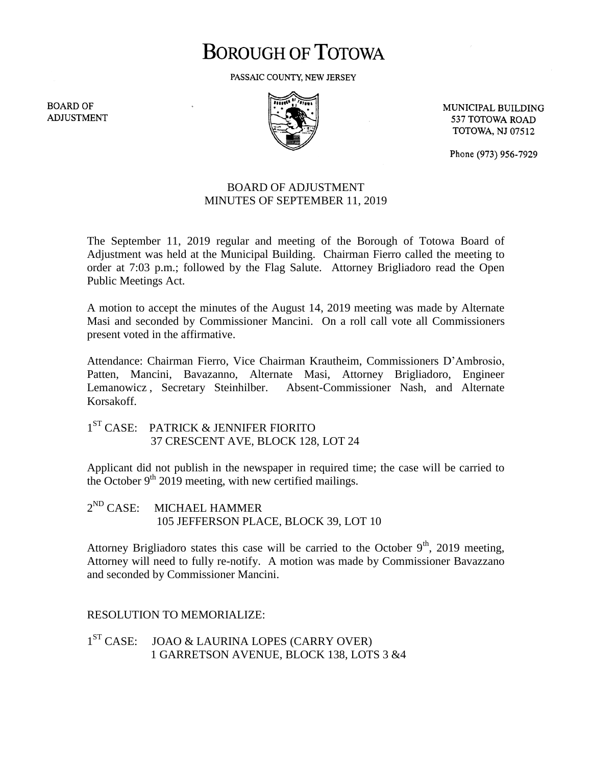## **BOROUGH OF TOTOWA**

PASSAIC COUNTY, NEW JERSEY

**BOARD OF ADJUSTMENT** 



MUNICIPAL BUILDING 537 TOTOWA ROAD **TOTOWA, NJ 07512** 

Phone (973) 956-7929

## BOARD OF ADJUSTMENT MINUTES OF SEPTEMBER 11, 2019

The September 11, 2019 regular and meeting of the Borough of Totowa Board of Adjustment was held at the Municipal Building. Chairman Fierro called the meeting to order at 7:03 p.m.; followed by the Flag Salute. Attorney Brigliadoro read the Open Public Meetings Act.

A motion to accept the minutes of the August 14, 2019 meeting was made by Alternate Masi and seconded by Commissioner Mancini. On a roll call vote all Commissioners present voted in the affirmative.

Attendance: Chairman Fierro, Vice Chairman Krautheim, Commissioners D'Ambrosio, Patten, Mancini, Bavazanno, Alternate Masi, Attorney Brigliadoro, Engineer Lemanowicz , Secretary Steinhilber. Absent-Commissioner Nash, and Alternate Korsakoff.

1<sup>ST</sup> CASE: PATRICK & JENNIFER FIORITO 37 CRESCENT AVE, BLOCK 128, LOT 24

Applicant did not publish in the newspaper in required time; the case will be carried to the October  $9<sup>th</sup>$  2019 meeting, with new certified mailings.

 $2^{ND}$  CASE: MICHAEL HAMMER 105 JEFFERSON PLACE, BLOCK 39, LOT 10

Attorney Brigliadoro states this case will be carried to the October  $9<sup>th</sup>$ , 2019 meeting, Attorney will need to fully re-notify. A motion was made by Commissioner Bavazzano and seconded by Commissioner Mancini.

## RESOLUTION TO MEMORIALIZE:

 $1^{ST}$  CASE: JOAO & LAURINA LOPES (CARRY OVER) 1 GARRETSON AVENUE, BLOCK 138, LOTS 3 &4